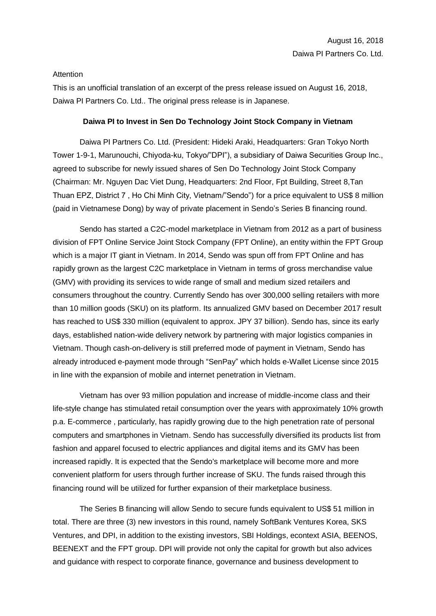## Attention

This is an unofficial translation of an excerpt of the press release issued on August 16, 2018, Daiwa PI Partners Co. Ltd.. The original press release is in Japanese.

## **Daiwa PI to Invest in Sen Do Technology Joint Stock Company in Vietnam**

Daiwa PI Partners Co. Ltd. (President: Hideki Araki, Headquarters: Gran Tokyo North Tower 1-9-1, Marunouchi, Chiyoda-ku, Tokyo/"DPI"), a subsidiary of Daiwa Securities Group Inc., agreed to subscribe for newly issued shares of Sen Do Technology Joint Stock Company (Chairman: Mr. Nguyen Dac Viet Dung, Headquarters: 2nd Floor, Fpt Building, Street 8,Tan Thuan EPZ, District 7, Ho Chi Minh City, Vietnam/"Sendo") for a price equivalent to US\$ 8 million (paid in Vietnamese Dong) by way of private placement in Sendo's Series B financing round.

Sendo has started a C2C-model marketplace in Vietnam from 2012 as a part of business division of FPT Online Service Joint Stock Company (FPT Online), an entity within the FPT Group which is a major IT giant in Vietnam. In 2014, Sendo was spun off from FPT Online and has rapidly grown as the largest C2C marketplace in Vietnam in terms of gross merchandise value (GMV) with providing its services to wide range of small and medium sized retailers and consumers throughout the country. Currently Sendo has over 300,000 selling retailers with more than 10 million goods (SKU) on its platform. Its annualized GMV based on December 2017 result has reached to US\$ 330 million (equivalent to approx. JPY 37 billion). Sendo has, since its early days, established nation-wide delivery network by partnering with major logistics companies in Vietnam. Though cash-on-delivery is still preferred mode of payment in Vietnam, Sendo has already introduced e-payment mode through "SenPay" which holds e-Wallet License since 2015 in line with the expansion of mobile and internet penetration in Vietnam.

Vietnam has over 93 million population and increase of middle-income class and their life-style change has stimulated retail consumption over the years with approximately 10% growth p.a. E-commerce , particularly, has rapidly growing due to the high penetration rate of personal computers and smartphones in Vietnam. Sendo has successfully diversified its products list from fashion and apparel focused to electric appliances and digital items and its GMV has been increased rapidly. It is expected that the Sendo's marketplace will become more and more convenient platform for users through further increase of SKU. The funds raised through this financing round will be utilized for further expansion of their marketplace business.

The Series B financing will allow Sendo to secure funds equivalent to US\$ 51 million in total. There are three (3) new investors in this round, namely SoftBank Ventures Korea, SKS Ventures, and DPI, in addition to the existing investors, SBI Holdings, econtext ASIA, BEENOS, BEENEXT and the FPT group. DPI will provide not only the capital for growth but also advices and guidance with respect to corporate finance, governance and business development to